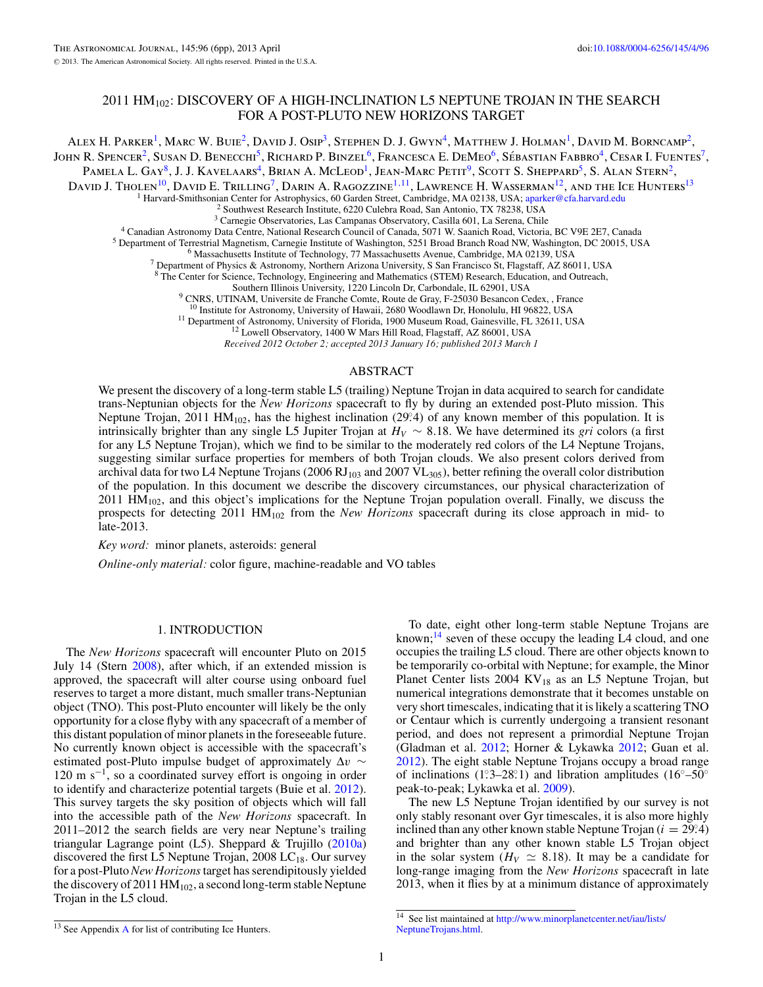# 2011  $HM_{102}$ : DISCOVERY OF A HIGH-INCLINATION L5 NEPTUNE TROJAN IN THE SEARCH FOR A POST-PLUTO NEW HORIZONS TARGET

ALEX H. PARKER<sup>1</sup>, MARC W. BUIE<sup>2</sup>, DAVID J. Osip<sup>3</sup>, Stephen D. J. Gwyn<sup>4</sup>, Matthew J. Holman<sup>1</sup>, David M. Borncamp<sup>2</sup>, John R. Spencer<sup>2</sup>, Susan D. Benecchi<sup>5</sup>, Richard P. Binzel<sup>6</sup>, Francesca E. DeMeo<sup>6</sup>, Sébastian Fabbro<sup>4</sup>, Cesar I. Fuentes<sup>7</sup>,

PAMELA L. GAY<sup>8</sup>, J. J. KAVELAARS<sup>4</sup>, BRIAN A. MCLEOD<sup>1</sup>, JEAN-MARC PETIT<sup>9</sup>, SCOTT S. SHEPPARD<sup>5</sup>, S. ALAN STERN<sup>2</sup>,

David J. Tholen<sup>10</sup>, David E. Trilling<sup>7</sup>, Darin A. Ragozzine<sup>1,11</sup>, Lawrence H. Wasserman<sup>12</sup>, and the Ice Hunters<sup>13</sup>

<sup>1</sup>Harvard-Smithsonian Center for Astrophysics, 60 Garden Street, Cambridge, MA 02138, USA; aparker @cfa.harvard.edu<br>
<sup>2</sup>Southwest Research Institute, 6220 Culebra Road, San Antonio, TX 78238, USA<br>
<sup>2</sup>Southwest Research In

<sup>8</sup> The Center for Science, Technology, Engineering and Mathematics (STEM) Research, Education, and Outreach, Southern Illinois University, 1220 Lincoln Dr, Carbondale, IL 62901, USA

<sup>9</sup> CNRS, UTINAM, Universite de Franche Comte, Route de Gray, F-25030 Besancon Cedex, , France <sup>10</sup> Institute for Astronomy, University of Hawaii, 2680 Woodlawn Dr, Honolulu, HI 96822, USA

<sup>11</sup> Department of Astronomy, University of Florida, 1900 Museum Road, Gainesville, FL 32611, USA<br><sup>12</sup> Lowell Observatory, 1400 W Mars Hill Road, Flagstaff, AZ 86001, USA

*Received 2012 October 2; accepted 2013 January 16; published 2013 March 1*

# ABSTRACT

We present the discovery of a long-term stable L5 (trailing) Neptune Trojan in data acquired to search for candidate trans-Neptunian objects for the *New Horizons* spacecraft to fly by during an extended post-Pluto mission. This Neptune Trojan, 2011 HM<sub>102</sub>, has the highest inclination (29°.4) of any known member of this population. It is intrinsically brighter than any single L5 Jupiter Trojan at *HV* ∼ 8*.*18. We have determined its *gri* colors (a first for any L5 Neptune Trojan), which we find to be similar to the moderately red colors of the L4 Neptune Trojans, suggesting similar surface properties for members of both Trojan clouds. We also present colors derived from archival data for two L4 Neptune Trojans (2006 RJ<sub>103</sub> and 2007  $\rm{VL_{305}}$ ), better refining the overall color distribution of the population. In this document we describe the discovery circumstances, our physical characterization of 2011 HM102, and this object's implications for the Neptune Trojan population overall. Finally, we discuss the prospects for detecting 2011 HM102 from the *New Horizons* spacecraft during its close approach in mid- to late-2013.

*Key word:* minor planets, asteroids: general

*Online-only material:* color figure, machine-readable and VO tables

# 1. INTRODUCTION

The *New Horizons* spacecraft will encounter Pluto on 2015 July 14 (Stern [2008\)](#page-5-0), after which, if an extended mission is approved, the spacecraft will alter course using onboard fuel reserves to target a more distant, much smaller trans-Neptunian object (TNO). This post-Pluto encounter will likely be the only opportunity for a close flyby with any spacecraft of a member of this distant population of minor planets in the foreseeable future. No currently known object is accessible with the spacecraft's estimated post-Pluto impulse budget of approximately Δ*v* ∼ 120 m s−1, so a coordinated survey effort is ongoing in order to identify and characterize potential targets (Buie et al. [2012\)](#page-5-0). This survey targets the sky position of objects which will fall into the accessible path of the *New Horizons* spacecraft. In 2011–2012 the search fields are very near Neptune's trailing triangular Lagrange point (L5). Sheppard & Trujillo [\(2010a\)](#page-5-0) discovered the first L5 Neptune Trojan, 2008 LC<sub>18</sub>. Our survey for a post-Pluto *New Horizons*target has serendipitously yielded the discovery of 2011  $HM<sub>102</sub>$ , a second long-term stable Neptune Trojan in the L5 cloud.

To date, eight other long-term stable Neptune Trojans are known;<sup>14</sup> seven of these occupy the leading L4 cloud, and one occupies the trailing L5 cloud. There are other objects known to be temporarily co-orbital with Neptune; for example, the Minor Planet Center lists  $2004$  KV<sub>18</sub> as an L5 Neptune Trojan, but numerical integrations demonstrate that it becomes unstable on very short timescales, indicating that it is likely a scattering TNO or Centaur which is currently undergoing a transient resonant period, and does not represent a primordial Neptune Trojan (Gladman et al. [2012;](#page-5-0) Horner & Lykawka [2012;](#page-5-0) Guan et al. [2012\)](#page-5-0). The eight stable Neptune Trojans occupy a broad range of inclinations (1°
3–28°
∴1) and libration amplitudes (16<sup>°</sup>–50<sup>°</sup> peak-to-peak; Lykawka et al. [2009\)](#page-5-0).

The new L5 Neptune Trojan identified by our survey is not only stably resonant over Gyr timescales, it is also more highly inclined than any other known stable Neptune Trojan  $(i = 29.4)$ and brighter than any other known stable L5 Trojan object in the solar system ( $H_V \simeq 8.18$ ). It may be a candidate for long-range imaging from the *New Horizons* spacecraft in late 2013, when it flies by at a minimum distance of approximately

<sup>13</sup> See Appendix [A](#page-4-0) for list of contributing Ice Hunters.

<sup>14</sup> See list maintained at [http://www.minorplanetcenter.net/iau/lists/](http://www.minorplanetcenter.net/iau/lists/NeptuneTrojans.html) [NeptuneTrojans.html.](http://www.minorplanetcenter.net/iau/lists/NeptuneTrojans.html)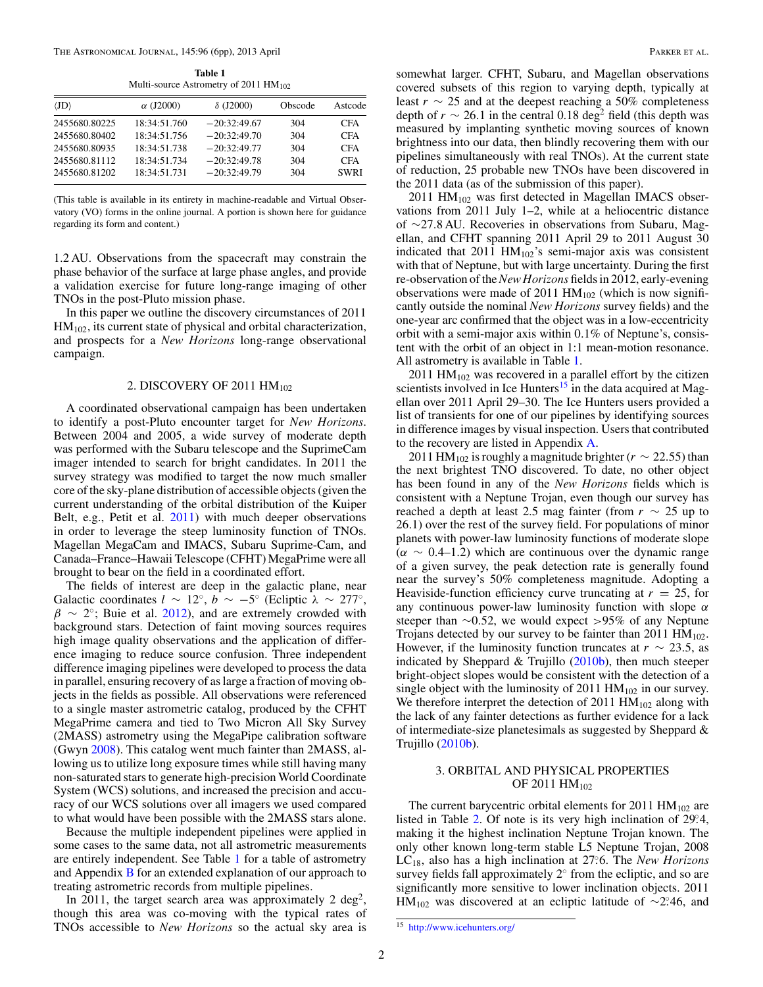**Table 1** Multi-source Astrometry of 2011 HM<sub>102</sub>

<span id="page-1-0"></span>

| $\alpha$ (J2000) | $\delta$ (J2000) | Obscode | Astcode     |
|------------------|------------------|---------|-------------|
| 18:34:51.760     | $-20:32:49.67$   | 304     | <b>CFA</b>  |
| 18:34:51.756     | $-20:32:49.70$   | 304     | <b>CFA</b>  |
| 18:34:51.738     | $-20:32:49.77$   | 304     | <b>CFA</b>  |
| 18:34:51.734     | $-20:32:49.78$   | 304     | <b>CFA</b>  |
| 18:34:51.731     | $-20:32:49.79$   | 304     | <b>SWRI</b> |
|                  |                  |         |             |

(This table is available in its entirety in machine-readable and Virtual Observatory (VO) forms in the online journal. A portion is shown here for guidance regarding its form and content.)

1.2 AU. Observations from the spacecraft may constrain the phase behavior of the surface at large phase angles, and provide a validation exercise for future long-range imaging of other TNOs in the post-Pluto mission phase.

In this paper we outline the discovery circumstances of 2011  $HM<sub>102</sub>$ , its current state of physical and orbital characterization, and prospects for a *New Horizons* long-range observational campaign.

# 2. DISCOVERY OF 2011 HM<sub>102</sub>

A coordinated observational campaign has been undertaken to identify a post-Pluto encounter target for *New Horizons*. Between 2004 and 2005, a wide survey of moderate depth was performed with the Subaru telescope and the SuprimeCam imager intended to search for bright candidates. In 2011 the survey strategy was modified to target the now much smaller core of the sky-plane distribution of accessible objects (given the current understanding of the orbital distribution of the Kuiper Belt, e.g., Petit et al. [2011\)](#page-5-0) with much deeper observations in order to leverage the steep luminosity function of TNOs. Magellan MegaCam and IMACS, Subaru Suprime-Cam, and Canada–France–Hawaii Telescope (CFHT) MegaPrime were all brought to bear on the field in a coordinated effort.

The fields of interest are deep in the galactic plane, near Galactic coordinates  $l \sim 12^\circ$ ,  $b \sim -5^\circ$  (Ecliptic  $\lambda \sim 277^\circ$ ,  $\beta \sim 2^{\circ}$ ; Buie et al. [2012\)](#page-5-0), and are extremely crowded with background stars. Detection of faint moving sources requires high image quality observations and the application of difference imaging to reduce source confusion. Three independent difference imaging pipelines were developed to process the data in parallel, ensuring recovery of as large a fraction of moving objects in the fields as possible. All observations were referenced to a single master astrometric catalog, produced by the CFHT MegaPrime camera and tied to Two Micron All Sky Survey (2MASS) astrometry using the MegaPipe calibration software (Gwyn [2008\)](#page-5-0). This catalog went much fainter than 2MASS, allowing us to utilize long exposure times while still having many non-saturated stars to generate high-precision World Coordinate System (WCS) solutions, and increased the precision and accuracy of our WCS solutions over all imagers we used compared to what would have been possible with the 2MASS stars alone.

Because the multiple independent pipelines were applied in some cases to the same data, not all astrometric measurements are entirely independent. See Table 1 for a table of astrometry and Appendix [B](#page-5-0) for an extended explanation of our approach to treating astrometric records from multiple pipelines.

In 2011, the target search area was approximately 2 deg<sup>2</sup>, though this area was co-moving with the typical rates of TNOs accessible to *New Horizons* so the actual sky area is somewhat larger. CFHT, Subaru, and Magellan observations covered subsets of this region to varying depth, typically at least  $r \sim 25$  and at the deepest reaching a 50% completeness depth of  $r \sim 26.1$  in the central 0.18 deg<sup>2</sup> field (this depth was measured by implanting synthetic moving sources of known brightness into our data, then blindly recovering them with our pipelines simultaneously with real TNOs). At the current state of reduction, 25 probable new TNOs have been discovered in the 2011 data (as of the submission of this paper).

 $2011$  HM<sub>102</sub> was first detected in Magellan IMACS observations from 2011 July 1–2, while at a heliocentric distance of ∼27*.*8 AU. Recoveries in observations from Subaru, Magellan, and CFHT spanning 2011 April 29 to 2011 August 30 indicated that  $2011$   $HM<sub>102</sub>$ 's semi-major axis was consistent with that of Neptune, but with large uncertainty. During the first re-observation of the*New Horizons* fields in 2012, early-evening observations were made of 2011  $HM<sub>102</sub>$  (which is now significantly outside the nominal *New Horizons* survey fields) and the one-year arc confirmed that the object was in a low-eccentricity orbit with a semi-major axis within 0*.*1% of Neptune's, consistent with the orbit of an object in 1:1 mean-motion resonance. All astrometry is available in Table 1.

2011  $HM_{102}$  was recovered in a parallel effort by the citizen scientists involved in Ice Hunters<sup>15</sup> in the data acquired at Magellan over 2011 April 29–30. The Ice Hunters users provided a list of transients for one of our pipelines by identifying sources in difference images by visual inspection. Users that contributed to the recovery are listed in Appendix [A.](#page-4-0)

2011 HM<sub>102</sub> is roughly a magnitude brighter ( $r \sim 22.55$ ) than the next brightest TNO discovered. To date, no other object has been found in any of the *New Horizons* fields which is consistent with a Neptune Trojan, even though our survey has reached a depth at least 2.5 mag fainter (from  $r \sim 25$  up to 26*.*1) over the rest of the survey field. For populations of minor planets with power-law luminosity functions of moderate slope  $(\alpha \sim 0.4$ –1.2) which are continuous over the dynamic range of a given survey, the peak detection rate is generally found near the survey's 50% completeness magnitude. Adopting a Heaviside-function efficiency curve truncating at  $r = 25$ , for any continuous power-law luminosity function with slope *α* steeper than ∼0*.*52, we would expect *>*95% of any Neptune Trojans detected by our survey to be fainter than 2011  $HM_{102}$ . However, if the luminosity function truncates at  $r \sim 23.5$ , as indicated by Sheppard & Trujillo  $(2010b)$ , then much steeper bright-object slopes would be consistent with the detection of a single object with the luminosity of 2011  $HM_{102}$  in our survey. We therefore interpret the detection of 2011  $HM_{102}$  along with the lack of any fainter detections as further evidence for a lack of intermediate-size planetesimals as suggested by Sheppard & Trujillo [\(2010b\)](#page-5-0).

# 3. ORBITAL AND PHYSICAL PROPERTIES OF 2011 HM<sub>102</sub>

The current barycentric orbital elements for  $2011 \text{ HM}_{102}$  are listed in Table [2.](#page-2-0) Of note is its very high inclination of 29.4, making it the highest inclination Neptune Trojan known. The only other known long-term stable L5 Neptune Trojan, 2008 LC18, also has a high inclination at 27*.* ◦6. The *New Horizons* survey fields fall approximately  $2°$  from the ecliptic, and so are significantly more sensitive to lower inclination objects. 2011  $HM<sub>102</sub>$  was discovered at an ecliptic latitude of ~2<sup>*°*</sup>.46, and

<sup>15</sup> <http://www.icehunters.org/>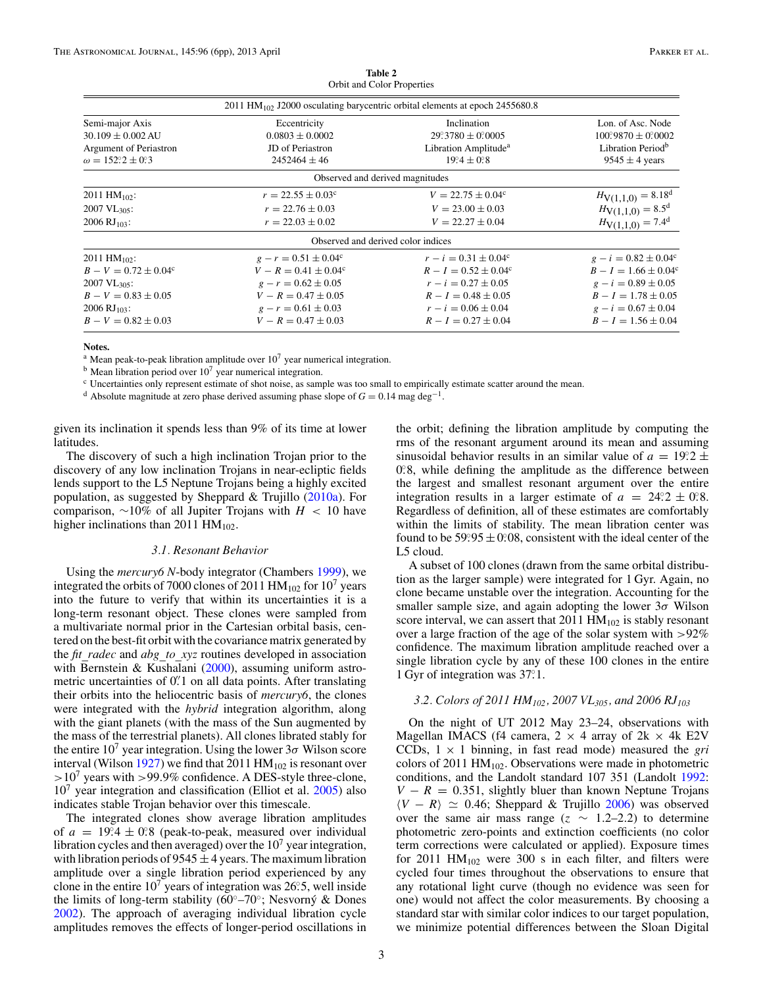<span id="page-2-0"></span>

|                                                  | 2011 HM <sub>102</sub> J2000 osculating barycentric orbital elements at epoch 2455680.8 |                                  |                               |
|--------------------------------------------------|-----------------------------------------------------------------------------------------|----------------------------------|-------------------------------|
| Semi-major Axis                                  | Eccentricity                                                                            | Inclination                      | Lon. of Asc. Node             |
| $30.109 \pm 0.002$ AU                            | $0.0803 \pm 0.0002$                                                                     | $29.3780 \pm 0.00005$            | $100\,9870 \pm 0.0002$        |
| Argument of Periastron                           | JD of Periastron                                                                        | Libration Amplitude <sup>a</sup> | Libration Period <sup>b</sup> |
| $\omega = 152^\circ \cdot 2 \pm 0^\circ \cdot 3$ | $2452464 \pm 46$                                                                        | $19.4 \pm 0.8$                   | $9545 \pm 4$ years            |
|                                                  | Observed and derived magnitudes                                                         |                                  |                               |
| 2011 HM $_{102}$ :                               | $r = 22.55 \pm 0.03^c$                                                                  | $V = 22.75 \pm 0.04^c$           | $H_{V(1,1,0)} = 8.18^d$       |
| $2007 \text{ VL}_{305}$ :                        | $r = 22.76 \pm 0.03$                                                                    | $V = 23.00 \pm 0.03$             | $H_{V(1,1,0)} = 8.5^d$        |
| $2006 \text{ RJ}_{103}$ :                        | $r = 22.03 \pm 0.02$                                                                    | $V = 22.27 \pm 0.04$             | $H_{V(1,1,0)} = 7.4^d$        |
|                                                  | Observed and derived color indices                                                      |                                  |                               |
| $2011 \text{ HM}_{102}$ :                        | $g - r = 0.51 \pm 0.04^c$                                                               | $r - i = 0.31 \pm 0.04^c$        | $g - i = 0.82 \pm 0.04^c$     |
| $B - V = 0.72 \pm 0.04^c$                        | $V - R = 0.41 \pm 0.04^c$                                                               | $R - I = 0.52 \pm 0.04^{\circ}$  | $B - I = 1.66 \pm 0.04^c$     |
| $2007 \text{ VL}_{305}$ :                        | $g - r = 0.62 \pm 0.05$                                                                 | $r - i = 0.27 \pm 0.05$          | $g - i = 0.89 \pm 0.05$       |
| $B - V = 0.83 \pm 0.05$                          | $V - R = 0.47 \pm 0.05$                                                                 | $R - I = 0.48 \pm 0.05$          | $B - I = 1.78 \pm 0.05$       |
| 2006 RJ <sub>103</sub> :                         | $g - r = 0.61 \pm 0.03$                                                                 | $r - i = 0.06 \pm 0.04$          | $g - i = 0.67 \pm 0.04$       |
| $B - V = 0.82 \pm 0.03$                          | $V - R = 0.47 \pm 0.03$                                                                 | $R - I = 0.27 \pm 0.04$          | $B - I = 1.56 \pm 0.04$       |

**Table 2** Orbit and Color Properties

### **Notes.**

<sup>a</sup> Mean peak-to-peak libration amplitude over  $10<sup>7</sup>$  year numerical integration.

 $<sup>b</sup>$  Mean libration period over 10<sup>7</sup> year numerical integration.</sup>

<sup>c</sup> Uncertainties only represent estimate of shot noise, as sample was too small to empirically estimate scatter around the mean.

<sup>d</sup> Absolute magnitude at zero phase derived assuming phase slope of *<sup>G</sup>* <sup>=</sup> 0.14 mag deg−1.

given its inclination it spends less than 9% of its time at lower latitudes.

The discovery of such a high inclination Trojan prior to the discovery of any low inclination Trojans in near-ecliptic fields lends support to the L5 Neptune Trojans being a highly excited population, as suggested by Sheppard & Trujillo  $(2010a)$ . For comparison, ∼10% of all Jupiter Trojans with *H <* 10 have higher inclinations than 2011  $HM_{102}$ .

### *3.1. Resonant Behavior*

Using the *mercury6 N*-body integrator (Chambers [1999\)](#page-5-0), we integrated the orbits of 7000 clones of 2011  $HM_{102}$  for 10<sup>7</sup> years into the future to verify that within its uncertainties it is a long-term resonant object. These clones were sampled from a multivariate normal prior in the Cartesian orbital basis, centered on the best-fit orbit with the covariance matrix generated by the *fit* radec and *abg* to xyz routines developed in association with Bernstein & Kushalani [\(2000\)](#page-5-0), assuming uniform astrometric uncertainties of 0<sup>"</sup>. 1 on all data points. After translating their orbits into the heliocentric basis of *mercury6*, the clones were integrated with the *hybrid* integration algorithm, along with the giant planets (with the mass of the Sun augmented by the mass of the terrestrial planets). All clones librated stably for the entire  $10<sup>7</sup>$  year integration. Using the lower  $3\sigma$  Wilson score interval (Wilson [1927\)](#page-5-0) we find that 2011  $HM_{102}$  is resonant over *>*107 years with *>*99*.*9% confidence. A DES-style three-clone,  $10<sup>7</sup>$  year integration and classification (Elliot et al.  $2005$ ) also indicates stable Trojan behavior over this timescale.

The integrated clones show average libration amplitudes of  $a = 19.4 \pm 0.8$  (peak-to-peak, measured over individual libration cycles and then averaged) over the  $10<sup>7</sup>$  year integration, with libration periods of  $9545 \pm 4$  years. The maximum libration amplitude over a single libration period experienced by any clone in the entire  $10^7$  years of integration was 26.5, well inside the limits of long-term stability ( $60°$ – $70°$ ; Nesvorný & Dones [2002\)](#page-5-0). The approach of averaging individual libration cycle amplitudes removes the effects of longer-period oscillations in

the orbit; defining the libration amplitude by computing the rms of the resonant argument around its mean and assuming sinusoidal behavior results in an similar value of  $a = 19.2 \pm 0.0001$ 0.8, while defining the amplitude as the difference between the largest and smallest resonant argument over the entire integration results in a larger estimate of  $a = 24.2 \pm 0.8$ . Regardless of definition, all of these estimates are comfortably within the limits of stability. The mean libration center was found to be  $59.95 \pm 0.08$ , consistent with the ideal center of the L5 cloud.

A subset of 100 clones (drawn from the same orbital distribution as the larger sample) were integrated for 1 Gyr. Again, no clone became unstable over the integration. Accounting for the smaller sample size, and again adopting the lower 3*σ* Wilson score interval, we can assert that  $2011 \text{ HM}_{102}$  is stably resonant over a large fraction of the age of the solar system with *>*92% confidence. The maximum libration amplitude reached over a single libration cycle by any of these 100 clones in the entire 1 Gyr of integration was 37°.1.

### *3.2. Colors of 2011 HM102, 2007 VL305, and 2006 RJ103*

On the night of UT 2012 May 23–24, observations with Magellan IMACS (f4 camera,  $2 \times 4$  array of  $2k \times 4k$  E2V CCDs,  $1 \times 1$  binning, in fast read mode) measured the *gri* colors of 2011  $HM<sub>102</sub>$ . Observations were made in photometric conditions, and the Landolt standard 107 351 (Landolt [1992:](#page-5-0)  $V - R = 0.351$ , slightly bluer than known Neptune Trojans  $\langle V - R \rangle \simeq 0.46$ ; Sheppard & Trujillo [2006\)](#page-5-0) was observed over the same air mass range ( $z \sim 1.2{\text -}2.2$ ) to determine photometric zero-points and extinction coefficients (no color term corrections were calculated or applied). Exposure times for 2011  $HM_{102}$  were 300 s in each filter, and filters were cycled four times throughout the observations to ensure that any rotational light curve (though no evidence was seen for one) would not affect the color measurements. By choosing a standard star with similar color indices to our target population, we minimize potential differences between the Sloan Digital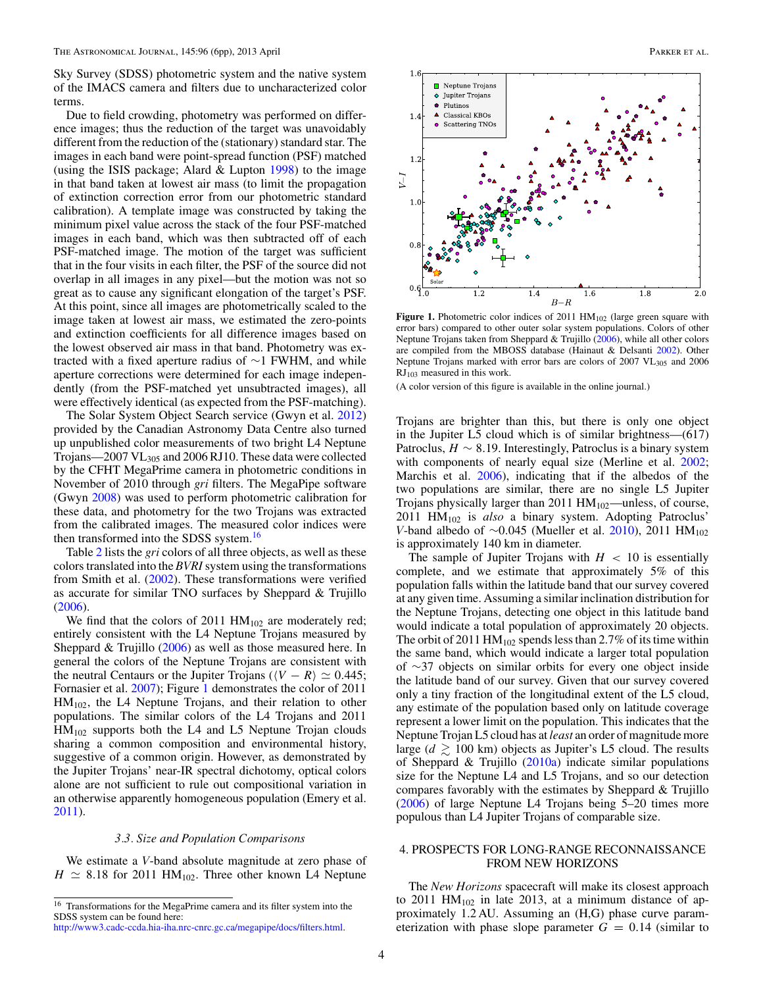Sky Survey (SDSS) photometric system and the native system of the IMACS camera and filters due to uncharacterized color terms.

Due to field crowding, photometry was performed on difference images; thus the reduction of the target was unavoidably different from the reduction of the (stationary) standard star. The images in each band were point-spread function (PSF) matched (using the ISIS package; Alard  $&$  Lupton [1998\)](#page-5-0) to the image in that band taken at lowest air mass (to limit the propagation of extinction correction error from our photometric standard calibration). A template image was constructed by taking the minimum pixel value across the stack of the four PSF-matched images in each band, which was then subtracted off of each PSF-matched image. The motion of the target was sufficient that in the four visits in each filter, the PSF of the source did not overlap in all images in any pixel—but the motion was not so great as to cause any significant elongation of the target's PSF. At this point, since all images are photometrically scaled to the image taken at lowest air mass, we estimated the zero-points and extinction coefficients for all difference images based on the lowest observed air mass in that band. Photometry was extracted with a fixed aperture radius of ∼1 FWHM, and while aperture corrections were determined for each image independently (from the PSF-matched yet unsubtracted images), all were effectively identical (as expected from the PSF-matching).

The Solar System Object Search service (Gwyn et al. [2012\)](#page-5-0) provided by the Canadian Astronomy Data Centre also turned up unpublished color measurements of two bright L4 Neptune Trojans—2007 VL305 and 2006 RJ10. These data were collected by the CFHT MegaPrime camera in photometric conditions in November of 2010 through *gri* filters. The MegaPipe software (Gwyn [2008\)](#page-5-0) was used to perform photometric calibration for these data, and photometry for the two Trojans was extracted from the calibrated images. The measured color indices were then transformed into the SDSS system.<sup>16</sup>

Table [2](#page-2-0) lists the *gri* colors of all three objects, as well as these colors translated into the *BVRI*system using the transformations from Smith et al. [\(2002\)](#page-5-0). These transformations were verified as accurate for similar TNO surfaces by Sheppard & Trujillo [\(2006\)](#page-5-0).

We find that the colors of 2011  $HM<sub>102</sub>$  are moderately red; entirely consistent with the L4 Neptune Trojans measured by Sheppard & Trujillo [\(2006\)](#page-5-0) as well as those measured here. In general the colors of the Neptune Trojans are consistent with the neutral Centaurs or the Jupiter Trojans ( $\langle V - R \rangle \simeq 0.445$ ; Fornasier et al. [2007\)](#page-5-0); Figure 1 demonstrates the color of 2011  $HM<sub>102</sub>$ , the L4 Neptune Trojans, and their relation to other populations. The similar colors of the L4 Trojans and 2011  $HM_{102}$  supports both the L4 and L5 Neptune Trojan clouds sharing a common composition and environmental history, suggestive of a common origin. However, as demonstrated by the Jupiter Trojans' near-IR spectral dichotomy, optical colors alone are not sufficient to rule out compositional variation in an otherwise apparently homogeneous population (Emery et al. [2011\)](#page-5-0).

#### *3.3. Size and Population Comparisons*

We estimate a *V*-band absolute magnitude at zero phase of  $H \simeq 8.18$  for 2011 HM<sub>102</sub>. Three other known L4 Neptune



Figure 1. Photometric color indices of 2011 HM<sub>102</sub> (large green square with error bars) compared to other outer solar system populations. Colors of other Neptune Trojans taken from Sheppard & Trujillo [\(2006\)](#page-5-0), while all other colors are compiled from the MBOSS database (Hainaut & Delsanti [2002\)](#page-5-0). Other Neptune Trojans marked with error bars are colors of 2007 VL<sub>305</sub> and 2006  $RJ<sub>103</sub>$  measured in this work.

(A color version of this figure is available in the online journal.)

Trojans are brighter than this, but there is only one object in the Jupiter L5 cloud which is of similar brightness—(617) Patroclus,  $H \sim 8.19$ . Interestingly, Patroclus is a binary system with components of nearly equal size (Merline et al. [2002;](#page-5-0) Marchis et al. [2006\)](#page-5-0), indicating that if the albedos of the two populations are similar, there are no single L5 Jupiter Trojans physically larger than 2011 HM<sub>102</sub>—unless, of course, 2011 HM102 is *also* a binary system. Adopting Patroclus' *V*-band albedo of ∼0.045 (Mueller et al. [2010\)](#page-5-0), 2011 HM<sub>102</sub> is approximately 140 km in diameter.

The sample of Jupiter Trojans with  $H < 10$  is essentially complete, and we estimate that approximately 5% of this population falls within the latitude band that our survey covered at any given time. Assuming a similar inclination distribution for the Neptune Trojans, detecting one object in this latitude band would indicate a total population of approximately 20 objects. The orbit of 2011 HM<sub>102</sub> spends less than 2.7% of its time within the same band, which would indicate a larger total population of ∼37 objects on similar orbits for every one object inside the latitude band of our survey. Given that our survey covered only a tiny fraction of the longitudinal extent of the L5 cloud, any estimate of the population based only on latitude coverage represent a lower limit on the population. This indicates that the Neptune Trojan L5 cloud has at *least* an order of magnitude more large ( $d \gtrsim 100$  km) objects as Jupiter's L5 cloud. The results of Sheppard & Trujillo  $(2010a)$  indicate similar populations size for the Neptune L4 and L5 Trojans, and so our detection compares favorably with the estimates by Sheppard & Trujillo [\(2006\)](#page-5-0) of large Neptune L4 Trojans being 5–20 times more populous than L4 Jupiter Trojans of comparable size.

# 4. PROSPECTS FOR LONG-RANGE RECONNAISSANCE FROM NEW HORIZONS

The *New Horizons* spacecraft will make its closest approach to 2011 HM<sub>102</sub> in late 2013, at a minimum distance of approximately 1.2 AU. Assuming an (H,G) phase curve parameterization with phase slope parameter  $G = 0.14$  (similar to

<sup>16</sup> Transformations for the MegaPrime camera and its filter system into the SDSS system can be found here:

[http://www3.cadc-ccda.hia-iha.nrc-cnrc.gc.ca/megapipe/docs/filters.html.](http://www3.cadc-ccda.hia-iha.nrc-cnrc.gc.ca/megapipe/docs/filters.html)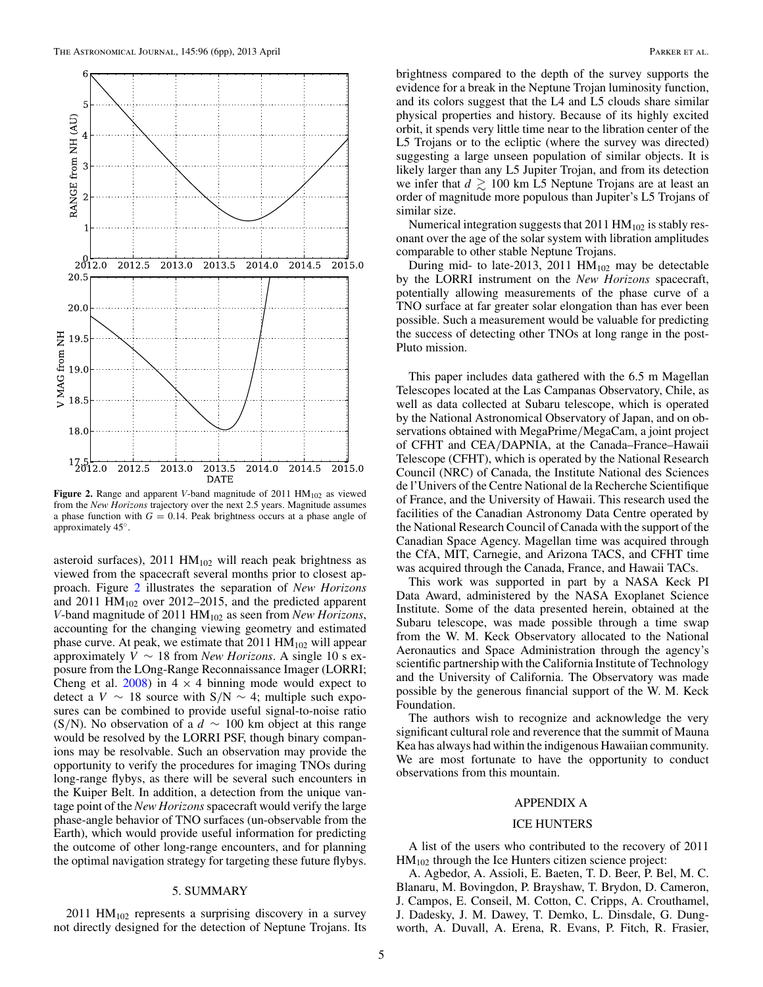<span id="page-4-0"></span>

Figure 2. Range and apparent *V*-band magnitude of 2011 HM<sub>102</sub> as viewed from the *New Horizons* trajectory over the next 2.5 years. Magnitude assumes a phase function with  $G = 0.14$ . Peak brightness occurs at a phase angle of approximately 45◦.

asteroid surfaces),  $2011$   $HM<sub>102</sub>$  will reach peak brightness as viewed from the spacecraft several months prior to closest approach. Figure 2 illustrates the separation of *New Horizons* and 2011  $HM_{102}$  over 2012–2015, and the predicted apparent *V*-band magnitude of 2011 HM102 as seen from *New Horizons*, accounting for the changing viewing geometry and estimated phase curve. At peak, we estimate that  $2011$   $HM<sub>102</sub>$  will appear approximately *V* ∼ 18 from *New Horizons*. A single 10 s exposure from the LOng-Range Reconnaissance Imager (LORRI; Cheng et al.  $2008$ ) in  $4 \times 4$  binning mode would expect to detect a *V* ∼ 18 source with S*/*N ∼ 4; multiple such exposures can be combined to provide useful signal-to-noise ratio (S*/*N). No observation of a *d* ∼ 100 km object at this range would be resolved by the LORRI PSF, though binary companions may be resolvable. Such an observation may provide the opportunity to verify the procedures for imaging TNOs during long-range flybys, as there will be several such encounters in the Kuiper Belt. In addition, a detection from the unique vantage point of the *New Horizons*spacecraft would verify the large phase-angle behavior of TNO surfaces (un-observable from the Earth), which would provide useful information for predicting the outcome of other long-range encounters, and for planning the optimal navigation strategy for targeting these future flybys.

## 5. SUMMARY

 $2011$  HM<sub>102</sub> represents a surprising discovery in a survey not directly designed for the detection of Neptune Trojans. Its

brightness compared to the depth of the survey supports the evidence for a break in the Neptune Trojan luminosity function, and its colors suggest that the L4 and L5 clouds share similar physical properties and history. Because of its highly excited orbit, it spends very little time near to the libration center of the L5 Trojans or to the ecliptic (where the survey was directed) suggesting a large unseen population of similar objects. It is likely larger than any L5 Jupiter Trojan, and from its detection we infer that  $d \gtrsim 100$  km L5 Neptune Trojans are at least an order of magnitude more populous than Jupiter's L5 Trojans of similar size.

Numerical integration suggests that  $2011$   $HM<sub>102</sub>$  is stably resonant over the age of the solar system with libration amplitudes comparable to other stable Neptune Trojans.

During mid- to late-2013, 2011  $HM<sub>102</sub>$  may be detectable by the LORRI instrument on the *New Horizons* spacecraft, potentially allowing measurements of the phase curve of a TNO surface at far greater solar elongation than has ever been possible. Such a measurement would be valuable for predicting the success of detecting other TNOs at long range in the post-Pluto mission.

This paper includes data gathered with the 6.5 m Magellan Telescopes located at the Las Campanas Observatory, Chile, as well as data collected at Subaru telescope, which is operated by the National Astronomical Observatory of Japan, and on observations obtained with MegaPrime*/*MegaCam, a joint project of CFHT and CEA*/*DAPNIA, at the Canada–France–Hawaii Telescope (CFHT), which is operated by the National Research Council (NRC) of Canada, the Institute National des Sciences de l'Univers of the Centre National de la Recherche Scientifique of France, and the University of Hawaii. This research used the facilities of the Canadian Astronomy Data Centre operated by the National Research Council of Canada with the support of the Canadian Space Agency. Magellan time was acquired through the CfA, MIT, Carnegie, and Arizona TACS, and CFHT time was acquired through the Canada, France, and Hawaii TACs.

This work was supported in part by a NASA Keck PI Data Award, administered by the NASA Exoplanet Science Institute. Some of the data presented herein, obtained at the Subaru telescope, was made possible through a time swap from the W. M. Keck Observatory allocated to the National Aeronautics and Space Administration through the agency's scientific partnership with the California Institute of Technology and the University of California. The Observatory was made possible by the generous financial support of the W. M. Keck Foundation.

The authors wish to recognize and acknowledge the very significant cultural role and reverence that the summit of Mauna Kea has always had within the indigenous Hawaiian community. We are most fortunate to have the opportunity to conduct observations from this mountain.

### APPENDIX A

### ICE HUNTERS

A list of the users who contributed to the recovery of 2011 HM102 through the Ice Hunters citizen science project:

A. Agbedor, A. Assioli, E. Baeten, T. D. Beer, P. Bel, M. C. Blanaru, M. Bovingdon, P. Brayshaw, T. Brydon, D. Cameron, J. Campos, E. Conseil, M. Cotton, C. Cripps, A. Crouthamel, J. Dadesky, J. M. Dawey, T. Demko, L. Dinsdale, G. Dungworth, A. Duvall, A. Erena, R. Evans, P. Fitch, R. Frasier,